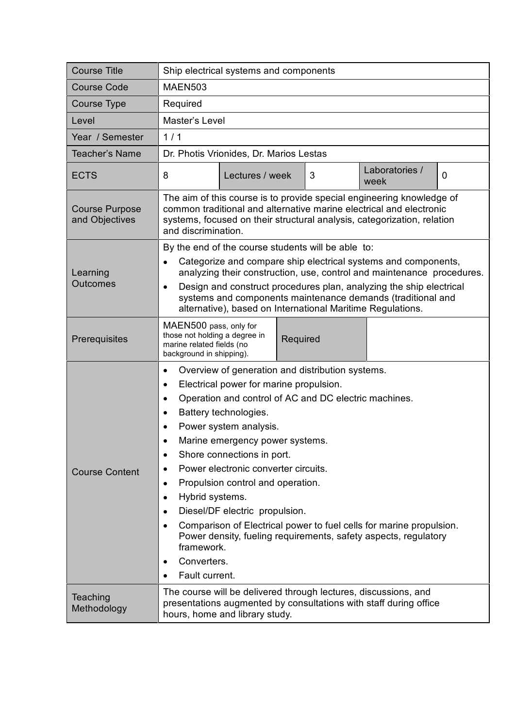| <b>Course Title</b>                     | Ship electrical systems and components                                                                                                                                                                                                                                                                                                                                                                                                                                                                                                                                                                                                                                                                                                                  |
|-----------------------------------------|---------------------------------------------------------------------------------------------------------------------------------------------------------------------------------------------------------------------------------------------------------------------------------------------------------------------------------------------------------------------------------------------------------------------------------------------------------------------------------------------------------------------------------------------------------------------------------------------------------------------------------------------------------------------------------------------------------------------------------------------------------|
| <b>Course Code</b>                      | <b>MAEN503</b>                                                                                                                                                                                                                                                                                                                                                                                                                                                                                                                                                                                                                                                                                                                                          |
| Course Type                             | Required                                                                                                                                                                                                                                                                                                                                                                                                                                                                                                                                                                                                                                                                                                                                                |
| Level                                   | Master's Level                                                                                                                                                                                                                                                                                                                                                                                                                                                                                                                                                                                                                                                                                                                                          |
| Year / Semester                         | 1/1                                                                                                                                                                                                                                                                                                                                                                                                                                                                                                                                                                                                                                                                                                                                                     |
| <b>Teacher's Name</b>                   | Dr. Photis Vrionides, Dr. Marios Lestas                                                                                                                                                                                                                                                                                                                                                                                                                                                                                                                                                                                                                                                                                                                 |
| <b>ECTS</b>                             | Laboratories /<br>8<br>Lectures / week<br>3<br>0<br>week                                                                                                                                                                                                                                                                                                                                                                                                                                                                                                                                                                                                                                                                                                |
| <b>Course Purpose</b><br>and Objectives | The aim of this course is to provide special engineering knowledge of<br>common traditional and alternative marine electrical and electronic<br>systems, focused on their structural analysis, categorization, relation<br>and discrimination.                                                                                                                                                                                                                                                                                                                                                                                                                                                                                                          |
| Learning<br><b>Outcomes</b>             | By the end of the course students will be able to:<br>Categorize and compare ship electrical systems and components,<br>$\bullet$<br>analyzing their construction, use, control and maintenance procedures.<br>Design and construct procedures plan, analyzing the ship electrical<br>$\bullet$<br>systems and components maintenance demands (traditional and<br>alternative), based on International Maritime Regulations.                                                                                                                                                                                                                                                                                                                            |
| Prerequisites                           | MAEN500 pass, only for<br>those not holding a degree in<br>Required<br>marine related fields (no<br>background in shipping).                                                                                                                                                                                                                                                                                                                                                                                                                                                                                                                                                                                                                            |
| <b>Course Content</b>                   | Overview of generation and distribution systems.<br>$\bullet$<br>Electrical power for marine propulsion.<br>$\bullet$<br>Operation and control of AC and DC electric machines.<br>$\bullet$<br>Battery technologies.<br>$\bullet$<br>Power system analysis.<br>$\bullet$<br>Marine emergency power systems.<br>Shore connections in port.<br>٠<br>Power electronic converter circuits.<br>Propulsion control and operation.<br>$\bullet$<br>Hybrid systems.<br>$\bullet$<br>Diesel/DF electric propulsion.<br>$\bullet$<br>Comparison of Electrical power to fuel cells for marine propulsion.<br>$\bullet$<br>Power density, fueling requirements, safety aspects, regulatory<br>framework.<br>Converters.<br>$\bullet$<br>Fault current.<br>$\bullet$ |
| Teaching<br>Methodology                 | The course will be delivered through lectures, discussions, and<br>presentations augmented by consultations with staff during office<br>hours, home and library study.                                                                                                                                                                                                                                                                                                                                                                                                                                                                                                                                                                                  |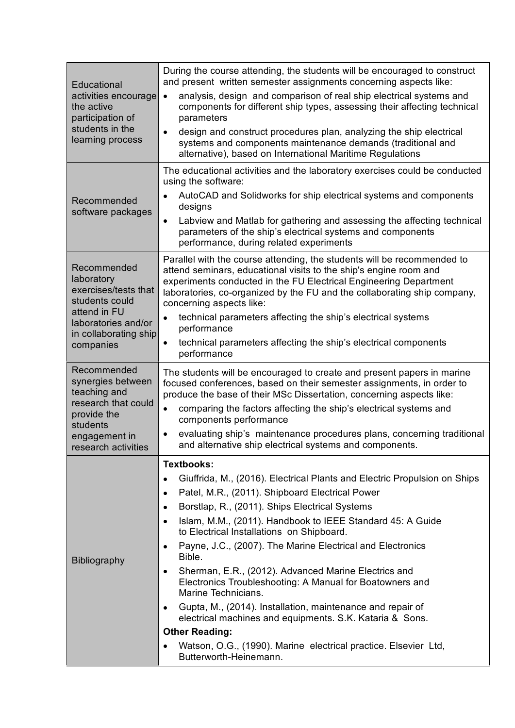| Educational<br>activities encourage<br>the active<br>participation of<br>students in the<br>learning process                                     | During the course attending, the students will be encouraged to construct<br>and present written semester assignments concerning aspects like:                                                                                                                                                                                                                                                                                        |
|--------------------------------------------------------------------------------------------------------------------------------------------------|---------------------------------------------------------------------------------------------------------------------------------------------------------------------------------------------------------------------------------------------------------------------------------------------------------------------------------------------------------------------------------------------------------------------------------------|
|                                                                                                                                                  | analysis, design and comparison of real ship electrical systems and<br>$\bullet$<br>components for different ship types, assessing their affecting technical<br>parameters                                                                                                                                                                                                                                                            |
|                                                                                                                                                  | design and construct procedures plan, analyzing the ship electrical<br>$\bullet$<br>systems and components maintenance demands (traditional and<br>alternative), based on International Maritime Regulations                                                                                                                                                                                                                          |
| Recommended<br>software packages                                                                                                                 | The educational activities and the laboratory exercises could be conducted<br>using the software:                                                                                                                                                                                                                                                                                                                                     |
|                                                                                                                                                  | AutoCAD and Solidworks for ship electrical systems and components<br>designs                                                                                                                                                                                                                                                                                                                                                          |
|                                                                                                                                                  | Labview and Matlab for gathering and assessing the affecting technical<br>$\bullet$<br>parameters of the ship's electrical systems and components<br>performance, during related experiments                                                                                                                                                                                                                                          |
| Recommended<br>laboratory<br>exercises/tests that<br>students could<br>attend in FU<br>laboratories and/or<br>in collaborating ship<br>companies | Parallel with the course attending, the students will be recommended to<br>attend seminars, educational visits to the ship's engine room and<br>experiments conducted in the FU Electrical Engineering Department<br>laboratories, co-organized by the FU and the collaborating ship company,<br>concerning aspects like:                                                                                                             |
|                                                                                                                                                  | technical parameters affecting the ship's electrical systems<br>$\bullet$<br>performance                                                                                                                                                                                                                                                                                                                                              |
|                                                                                                                                                  | technical parameters affecting the ship's electrical components<br>performance                                                                                                                                                                                                                                                                                                                                                        |
| Recommended<br>synergies between<br>teaching and<br>research that could<br>provide the<br>students<br>engagement in                              | The students will be encouraged to create and present papers in marine<br>focused conferences, based on their semester assignments, in order to<br>produce the base of their MSc Dissertation, concerning aspects like:<br>comparing the factors affecting the ship's electrical systems and<br>components performance<br>evaluating ship's maintenance procedures plans, concerning traditional                                      |
| research activities                                                                                                                              | and alternative ship electrical systems and components.                                                                                                                                                                                                                                                                                                                                                                               |
| <b>Bibliography</b>                                                                                                                              | <b>Textbooks:</b><br>Giuffrida, M., (2016). Electrical Plants and Electric Propulsion on Ships<br>$\bullet$<br>Patel, M.R., (2011). Shipboard Electrical Power<br>$\bullet$<br>Borstlap, R., (2011). Ships Electrical Systems<br>٠<br>Islam, M.M., (2011). Handbook to IEEE Standard 45: A Guide<br>$\bullet$<br>to Electrical Installations on Shipboard.<br>Payne, J.C., (2007). The Marine Electrical and Electronics<br>$\bullet$ |
|                                                                                                                                                  | Bible.<br>Sherman, E.R., (2012). Advanced Marine Electrics and<br>٠<br>Electronics Troubleshooting: A Manual for Boatowners and<br>Marine Technicians.<br>Gupta, M., (2014). Installation, maintenance and repair of<br>٠<br>electrical machines and equipments. S.K. Kataria & Sons.<br><b>Other Reading:</b><br>Watson, O.G., (1990). Marine electrical practice. Elsevier Ltd,                                                     |